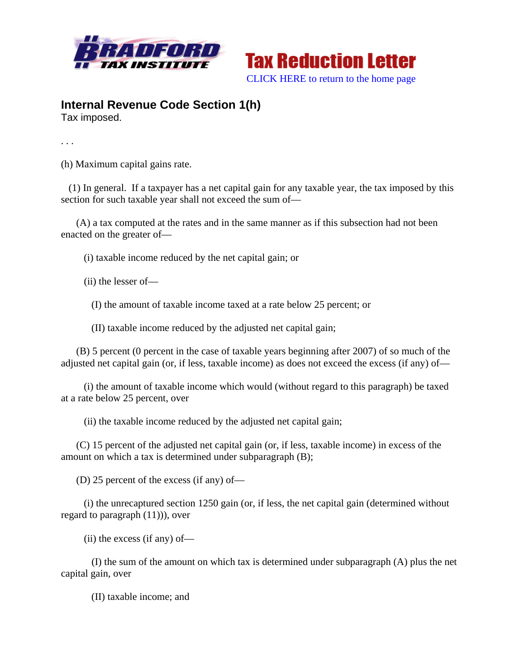



## **Internal Revenue Code Section 1(h)**

Tax imposed.

. . .

(h) Maximum capital gains rate.

 (1) In general. If a taxpayer has a net capital gain for any taxable year, the tax imposed by this section for such taxable year shall not exceed the sum of—

 (A) a tax computed at the rates and in the same manner as if this subsection had not been enacted on the greater of—

(i) taxable income reduced by the net capital gain; or

(ii) the lesser of—

(I) the amount of taxable income taxed at a rate below 25 percent; or

(II) taxable income reduced by the adjusted net capital gain;

 (B) 5 percent (0 percent in the case of taxable years beginning after 2007) of so much of the adjusted net capital gain (or, if less, taxable income) as does not exceed the excess (if any) of—

 (i) the amount of taxable income which would (without regard to this paragraph) be taxed at a rate below 25 percent, over

(ii) the taxable income reduced by the adjusted net capital gain;

 (C) 15 percent of the adjusted net capital gain (or, if less, taxable income) in excess of the amount on which a tax is determined under subparagraph (B);

(D) 25 percent of the excess (if any) of—

 (i) the unrecaptured section 1250 gain (or, if less, the net capital gain (determined without regard to paragraph (11))), over

(ii) the excess (if any) of—

 (I) the sum of the amount on which tax is determined under subparagraph (A) plus the net capital gain, over

(II) taxable income; and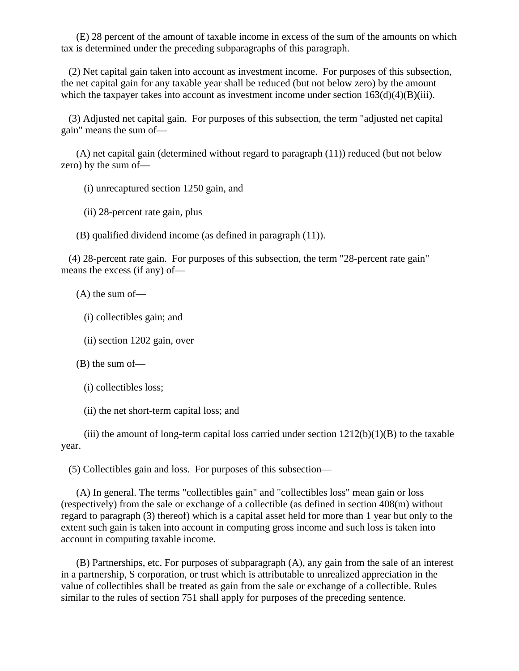(E) 28 percent of the amount of taxable income in excess of the sum of the amounts on which tax is determined under the preceding subparagraphs of this paragraph.

 (2) Net capital gain taken into account as investment income. For purposes of this subsection, the net capital gain for any taxable year shall be reduced (but not below zero) by the amount which the taxpayer takes into account as investment income under section  $163(d)(4)(B)(iii)$ .

 (3) Adjusted net capital gain. For purposes of this subsection, the term "adjusted net capital gain" means the sum of—

 (A) net capital gain (determined without regard to paragraph (11)) reduced (but not below zero) by the sum of—

(i) unrecaptured section 1250 gain, and

(ii) 28-percent rate gain, plus

(B) qualified dividend income (as defined in paragraph (11)).

 (4) 28-percent rate gain. For purposes of this subsection, the term "28-percent rate gain" means the excess (if any) of—

(A) the sum of—

(i) collectibles gain; and

(ii) section 1202 gain, over

(B) the sum of—

(i) collectibles loss;

(ii) the net short-term capital loss; and

(iii) the amount of long-term capital loss carried under section  $1212(b)(1)(B)$  to the taxable year.

(5) Collectibles gain and loss. For purposes of this subsection—

 (A) In general. The terms "collectibles gain" and "collectibles loss" mean gain or loss (respectively) from the sale or exchange of a collectible (as defined in section 408(m) without regard to paragraph (3) thereof) which is a capital asset held for more than 1 year but only to the extent such gain is taken into account in computing gross income and such loss is taken into account in computing taxable income.

 (B) Partnerships, etc. For purposes of subparagraph (A), any gain from the sale of an interest in a partnership, S corporation, or trust which is attributable to unrealized appreciation in the value of collectibles shall be treated as gain from the sale or exchange of a collectible. Rules similar to the rules of section 751 shall apply for purposes of the preceding sentence.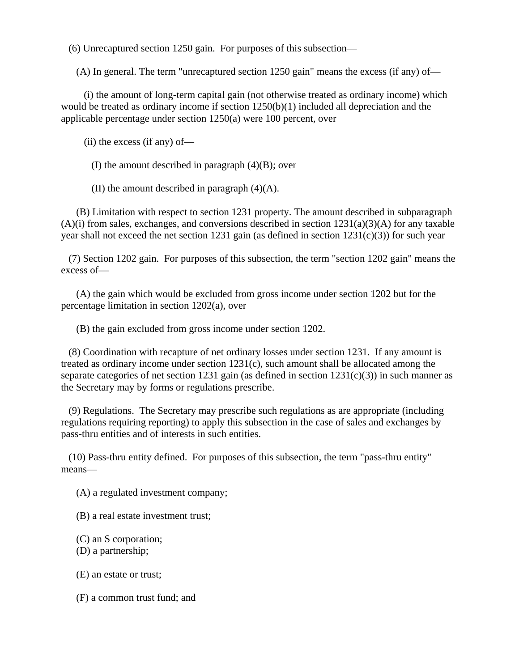(6) Unrecaptured section 1250 gain. For purposes of this subsection—

(A) In general. The term "unrecaptured section 1250 gain" means the excess (if any) of—

 (i) the amount of long-term capital gain (not otherwise treated as ordinary income) which would be treated as ordinary income if section 1250(b)(1) included all depreciation and the applicable percentage under section 1250(a) were 100 percent, over

(ii) the excess (if any) of—

(I) the amount described in paragraph (4)(B); over

(II) the amount described in paragraph (4)(A).

 (B) Limitation with respect to section 1231 property. The amount described in subparagraph  $(A)(i)$  from sales, exchanges, and conversions described in section  $1231(a)(3)(A)$  for any taxable year shall not exceed the net section 1231 gain (as defined in section  $1231(c)(3)$ ) for such year

 (7) Section 1202 gain. For purposes of this subsection, the term "section 1202 gain" means the excess of—

 (A) the gain which would be excluded from gross income under section 1202 but for the percentage limitation in section 1202(a), over

(B) the gain excluded from gross income under section 1202.

 (8) Coordination with recapture of net ordinary losses under section 1231. If any amount is treated as ordinary income under section 1231(c), such amount shall be allocated among the separate categories of net section 1231 gain (as defined in section 1231(c)(3)) in such manner as the Secretary may by forms or regulations prescribe.

 (9) Regulations. The Secretary may prescribe such regulations as are appropriate (including regulations requiring reporting) to apply this subsection in the case of sales and exchanges by pass-thru entities and of interests in such entities.

 (10) Pass-thru entity defined. For purposes of this subsection, the term "pass-thru entity" means—

(A) a regulated investment company;

(B) a real estate investment trust;

(C) an S corporation;

(D) a partnership;

(E) an estate or trust;

(F) a common trust fund; and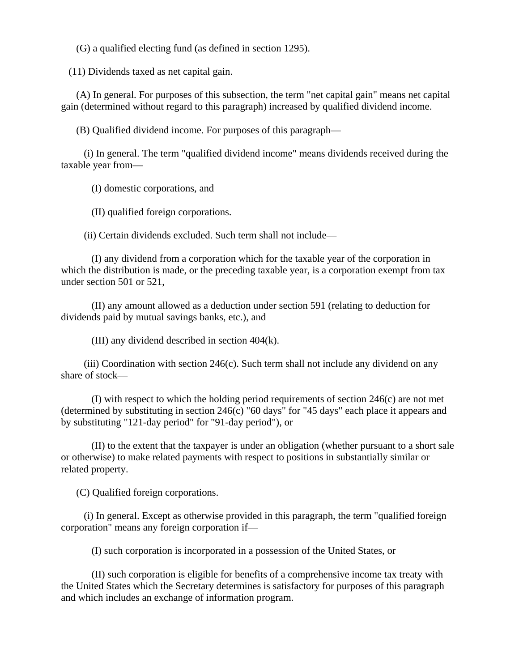(G) a qualified electing fund (as defined in section 1295).

(11) Dividends taxed as net capital gain.

 (A) In general. For purposes of this subsection, the term "net capital gain" means net capital gain (determined without regard to this paragraph) increased by qualified dividend income.

(B) Qualified dividend income. For purposes of this paragraph—

 (i) In general. The term "qualified dividend income" means dividends received during the taxable year from—

(I) domestic corporations, and

(II) qualified foreign corporations.

(ii) Certain dividends excluded. Such term shall not include—

 (I) any dividend from a corporation which for the taxable year of the corporation in which the distribution is made, or the preceding taxable year, is a corporation exempt from tax under section 501 or 521,

 (II) any amount allowed as a deduction under section 591 (relating to deduction for dividends paid by mutual savings banks, etc.), and

(III) any dividend described in section 404(k).

 (iii) Coordination with section 246(c). Such term shall not include any dividend on any share of stock—

 (I) with respect to which the holding period requirements of section 246(c) are not met (determined by substituting in section 246(c) "60 days" for "45 days" each place it appears and by substituting "121-day period" for "91-day period"), or

 (II) to the extent that the taxpayer is under an obligation (whether pursuant to a short sale or otherwise) to make related payments with respect to positions in substantially similar or related property.

(C) Qualified foreign corporations.

 (i) In general. Except as otherwise provided in this paragraph, the term "qualified foreign corporation" means any foreign corporation if—

(I) such corporation is incorporated in a possession of the United States, or

 (II) such corporation is eligible for benefits of a comprehensive income tax treaty with the United States which the Secretary determines is satisfactory for purposes of this paragraph and which includes an exchange of information program.